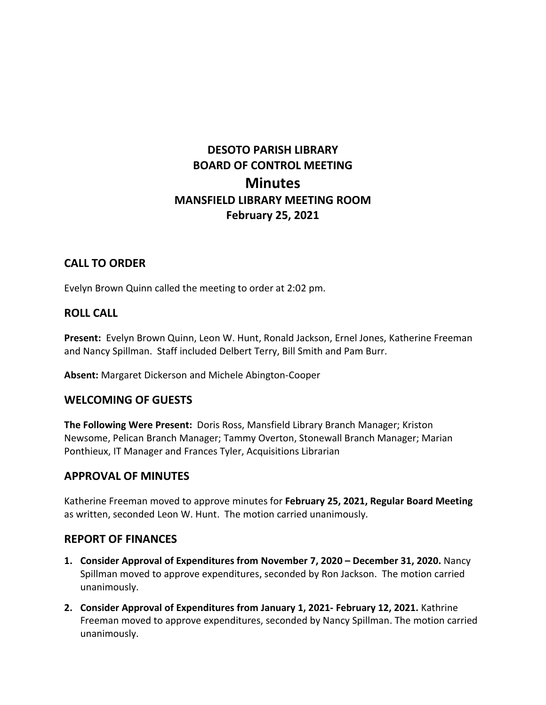# **DESOTO PARISH LIBRARY BOARD OF CONTROL MEETING Minutes MANSFIELD LIBRARY MEETING ROOM February 25, 2021**

# **CALL TO ORDER**

Evelyn Brown Quinn called the meeting to order at 2:02 pm.

# **ROLL CALL**

**Present:** Evelyn Brown Quinn, Leon W. Hunt, Ronald Jackson, Ernel Jones, Katherine Freeman and Nancy Spillman. Staff included Delbert Terry, Bill Smith and Pam Burr.

**Absent:** Margaret Dickerson and Michele Abington-Cooper

# **WELCOMING OF GUESTS**

**The Following Were Present:** Doris Ross, Mansfield Library Branch Manager; Kriston Newsome, Pelican Branch Manager; Tammy Overton, Stonewall Branch Manager; Marian Ponthieux, IT Manager and Frances Tyler, Acquisitions Librarian

# **APPROVAL OF MINUTES**

Katherine Freeman moved to approve minutes for **February 25, 2021, Regular Board Meeting**  as written, seconded Leon W. Hunt. The motion carried unanimously.

# **REPORT OF FINANCES**

- **1. Consider Approval of Expenditures from November 7, 2020 – December 31, 2020.** Nancy Spillman moved to approve expenditures, seconded by Ron Jackson. The motion carried unanimously.
- **2. Consider Approval of Expenditures from January 1, 2021- February 12, 2021.** Kathrine Freeman moved to approve expenditures, seconded by Nancy Spillman. The motion carried unanimously.